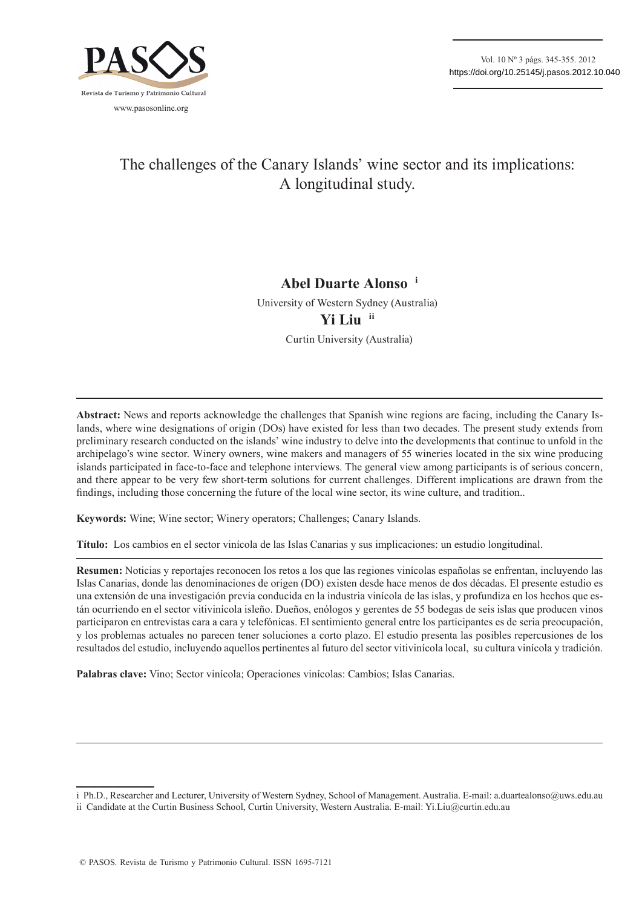Vol. 10 Nº 3 págs. 345-355. 2012 https://doi.org/10.25145/j.pasos.2012.10.040



# The challenges of the Canary Islands' wine sector and its implications: A longitudinal study.

# **Abel Duarte Alonso i**

University of Western Sydney (Australia) **Yi Liu ii** Curtin University (Australia)

**Abstract:** News and reports acknowledge the challenges that Spanish wine regions are facing, including the Canary Islands, where wine designations of origin (DOs) have existed for less than two decades. The present study extends from preliminary research conducted on the islands' wine industry to delve into the developments that continue to unfold in the archipelago's wine sector. Winery owners, wine makers and managers of 55 wineries located in the six wine producing islands participated in face-to-face and telephone interviews. The general view among participants is of serious concern, and there appear to be very few short-term solutions for current challenges. Different implications are drawn from the findings, including those concerning the future of the local wine sector, its wine culture, and tradition..

**Keywords:** Wine; Wine sector; Winery operators; Challenges; Canary Islands.

**Título:** Los cambios en el sector vinícola de las Islas Canarias y sus implicaciones: un estudio longitudinal.

**Resumen:** Noticias y reportajes reconocen los retos a los que las regiones vinícolas españolas se enfrentan, incluyendo las Islas Canarias, donde las denominaciones de origen (DO) existen desde hace menos de dos décadas. El presente estudio es una extensión de una investigación previa conducida en la industria vinícola de las islas, y profundiza en los hechos que están ocurriendo en el sector vitivinícola isleño. Dueños, enólogos y gerentes de 55 bodegas de seis islas que producen vinos participaron en entrevistas cara a cara y telefónicas. El sentimiento general entre los participantes es de seria preocupación, y los problemas actuales no parecen tener soluciones a corto plazo. El estudio presenta las posibles repercusiones de los resultados del estudio, incluyendo aquellos pertinentes al futuro del sector vitivinícola local, su cultura vinícola y tradición.

**Palabras clave:** Vino; Sector vinícola; Operaciones vinícolas: Cambios; Islas Canarias.

i Ph.D., Researcher and Lecturer, University of Western Sydney, School of Management. Australia. E-mail: a.duartealonso@uws.edu.au ii Candidate at the Curtin Business School, Curtin University, Western Australia. E-mail: Yi.Liu@curtin.edu.au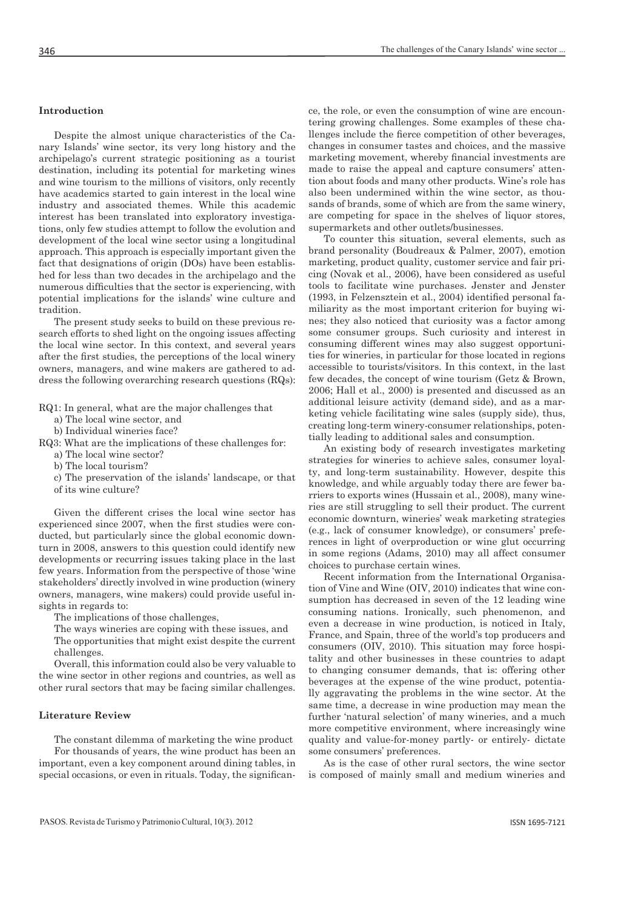# **Introduction**

Despite the almost unique characteristics of the Canary Islands' wine sector, its very long history and the archipelago's current strategic positioning as a tourist destination, including its potential for marketing wines and wine tourism to the millions of visitors, only recently have academics started to gain interest in the local wine industry and associated themes. While this academic interest has been translated into exploratory investigations, only few studies attempt to follow the evolution and development of the local wine sector using a longitudinal approach. This approach is especially important given the fact that designations of origin (DOs) have been established for less than two decades in the archipelago and the numerous difficulties that the sector is experiencing, with potential implications for the islands' wine culture and tradition.

The present study seeks to build on these previous research efforts to shed light on the ongoing issues affecting the local wine sector. In this context, and several years after the first studies, the perceptions of the local winery owners, managers, and wine makers are gathered to address the following overarching research questions (RQs):

- RQ1: In general, what are the major challenges that
	- a) The local wine sector, and
	- b) Individual wineries face?
- RQ3: What are the implications of these challenges for:
	- a) The local wine sector?
	- b) The local tourism?
	- c) The preservation of the islands' landscape, or that
	- of its wine culture?

Given the different crises the local wine sector has experienced since 2007, when the first studies were conducted, but particularly since the global economic downturn in 2008, answers to this question could identify new developments or recurring issues taking place in the last few years. Information from the perspective of those 'wine stakeholders' directly involved in wine production (winery owners, managers, wine makers) could provide useful insights in regards to:

The implications of those challenges,

The ways wineries are coping with these issues, and The opportunities that might exist despite the current challenges.

Overall, this information could also be very valuable to the wine sector in other regions and countries, as well as other rural sectors that may be facing similar challenges.

# **Literature Review**

The constant dilemma of marketing the wine product For thousands of years, the wine product has been an important, even a key component around dining tables, in special occasions, or even in rituals. Today, the significance, the role, or even the consumption of wine are encountering growing challenges. Some examples of these challenges include the fierce competition of other beverages, changes in consumer tastes and choices, and the massive marketing movement, whereby financial investments are made to raise the appeal and capture consumers' attention about foods and many other products. Wine's role has also been undermined within the wine sector, as thousands of brands, some of which are from the same winery, are competing for space in the shelves of liquor stores, supermarkets and other outlets/businesses.

To counter this situation, several elements, such as brand personality (Boudreaux & Palmer, 2007), emotion marketing, product quality, customer service and fair pricing (Novak et al., 2006), have been considered as useful tools to facilitate wine purchases. Jenster and Jenster (1993, in Felzensztein et al., 2004) identified personal familiarity as the most important criterion for buying wines; they also noticed that curiosity was a factor among some consumer groups. Such curiosity and interest in consuming different wines may also suggest opportunities for wineries, in particular for those located in regions accessible to tourists/visitors. In this context, in the last few decades, the concept of wine tourism (Getz & Brown, 2006; Hall et al., 2000) is presented and discussed as an additional leisure activity (demand side), and as a marketing vehicle facilitating wine sales (supply side), thus, creating long-term winery-consumer relationships, potentially leading to additional sales and consumption.

An existing body of research investigates marketing strategies for wineries to achieve sales, consumer loyalty, and long-term sustainability. However, despite this knowledge, and while arguably today there are fewer barriers to exports wines (Hussain et al., 2008), many wineries are still struggling to sell their product. The current economic downturn, wineries' weak marketing strategies (e.g., lack of consumer knowledge), or consumers' preferences in light of overproduction or wine glut occurring in some regions (Adams, 2010) may all affect consumer choices to purchase certain wines.

Recent information from the International Organisation of Vine and Wine (OIV, 2010) indicates that wine consumption has decreased in seven of the 12 leading wine consuming nations. Ironically, such phenomenon, and even a decrease in wine production, is noticed in Italy, France, and Spain, three of the world's top producers and consumers (OIV, 2010). This situation may force hospitality and other businesses in these countries to adapt to changing consumer demands, that is: offering other beverages at the expense of the wine product, potentially aggravating the problems in the wine sector. At the same time, a decrease in wine production may mean the further 'natural selection' of many wineries, and a much more competitive environment, where increasingly wine quality and value-for-money partly- or entirely- dictate some consumers' preferences.

As is the case of other rural sectors, the wine sector is composed of mainly small and medium wineries and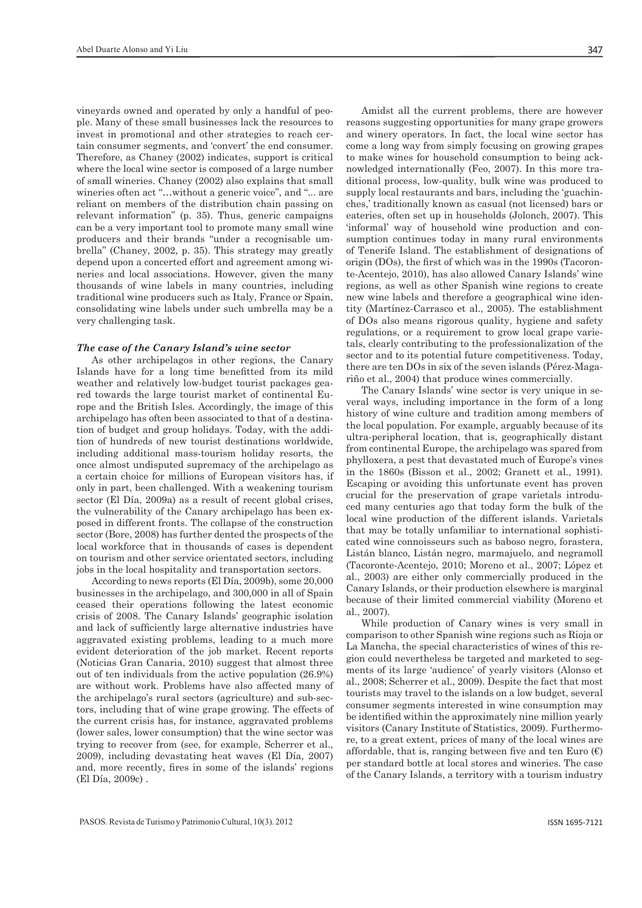vineyards owned and operated by only a handful of people. Many of these small businesses lack the resources to invest in promotional and other strategies to reach certain consumer segments, and 'convert' the end consumer. Therefore, as Chaney (2002) indicates, support is critical where the local wine sector is composed of a large number of small wineries. Chaney (2002) also explains that small wineries often act "...without a generic voice", and "... are reliant on members of the distribution chain passing on relevant information" (p. 35). Thus, generic campaigns can be a very important tool to promote many small wine producers and their brands "under a recognisable umbrella" (Chaney, 2002, p. 35). This strategy may greatly depend upon a concerted effort and agreement among wineries and local associations. However, given the many thousands of wine labels in many countries, including traditional wine producers such as Italy, France or Spain, consolidating wine labels under such umbrella may be a very challenging task.

# *The case of the Canary Island's wine sector*

As other archipelagos in other regions, the Canary Islands have for a long time benefitted from its mild weather and relatively low-budget tourist packages geared towards the large tourist market of continental Europe and the British Isles. Accordingly, the image of this archipelago has often been associated to that of a destination of budget and group holidays. Today, with the addition of hundreds of new tourist destinations worldwide, including additional mass-tourism holiday resorts, the once almost undisputed supremacy of the archipelago as a certain choice for millions of European visitors has, if only in part, been challenged. With a weakening tourism sector (El Día, 2009a) as a result of recent global crises, the vulnerability of the Canary archipelago has been exposed in different fronts. The collapse of the construction sector (Bore, 2008) has further dented the prospects of the local workforce that in thousands of cases is dependent on tourism and other service orientated sectors, including jobs in the local hospitality and transportation sectors.

According to news reports (El Día, 2009b), some 20,000 businesses in the archipelago, and 300,000 in all of Spain ceased their operations following the latest economic crisis of 2008. The Canary Islands' geographic isolation and lack of sufficiently large alternative industries have aggravated existing problems, leading to a much more evident deterioration of the job market. Recent reports (Noticias Gran Canaria, 2010) suggest that almost three out of ten individuals from the active population (26.9%) are without work. Problems have also affected many of the archipelago's rural sectors (agriculture) and sub-sectors, including that of wine grape growing. The effects of the current crisis has, for instance, aggravated problems (lower sales, lower consumption) that the wine sector was trying to recover from (see, for example, Scherrer et al., 2009), including devastating heat waves (El Día, 2007) and, more recently, fires in some of the islands' regions (El Día, 2009c) .

Amidst all the current problems, there are however reasons suggesting opportunities for many grape growers and winery operators. In fact, the local wine sector has come a long way from simply focusing on growing grapes to make wines for household consumption to being acknowledged internationally (Feo, 2007). In this more traditional process, low-quality, bulk wine was produced to supply local restaurants and bars, including the 'guachinches,' traditionally known as casual (not licensed) bars or eateries, often set up in households (Jolonch, 2007). This 'informal' way of household wine production and consumption continues today in many rural environments of Tenerife Island. The establishment of designations of origin (DOs), the first of which was in the 1990s (Tacoronte-Acentejo, 2010), has also allowed Canary Islands' wine regions, as well as other Spanish wine regions to create new wine labels and therefore a geographical wine identity (Martínez-Carrasco et al., 2005). The establishment of DOs also means rigorous quality, hygiene and safety regulations, or a requirement to grow local grape varietals, clearly contributing to the professionalization of the sector and to its potential future competitiveness. Today, there are ten DOs in six of the seven islands (Pérez-Magariño et al., 2004) that produce wines commercially.

The Canary Islands' wine sector is very unique in several ways, including importance in the form of a long history of wine culture and tradition among members of the local population. For example, arguably because of its ultra-peripheral location, that is, geographically distant from continental Europe, the archipelago was spared from phylloxera, a pest that devastated much of Europe's vines in the 1860s (Bisson et al., 2002; Granett et al., 1991). Escaping or avoiding this unfortunate event has proven crucial for the preservation of grape varietals introduced many centuries ago that today form the bulk of the local wine production of the different islands. Varietals that may be totally unfamiliar to international sophisticated wine connoisseurs such as baboso negro, forastera, Listán blanco, Listán negro, marmajuelo, and negramoll (Tacoronte-Acentejo, 2010; Moreno et al., 2007; López et al., 2003) are either only commercially produced in the Canary Islands, or their production elsewhere is marginal because of their limited commercial viability (Moreno et al., 2007).

While production of Canary wines is very small in comparison to other Spanish wine regions such as Rioja or La Mancha, the special characteristics of wines of this region could nevertheless be targeted and marketed to segments of its large 'audience' of yearly visitors (Alonso et al., 2008; Scherrer et al., 2009). Despite the fact that most tourists may travel to the islands on a low budget, several consumer segments interested in wine consumption may be identified within the approximately nine million yearly visitors (Canary Institute of Statistics, 2009). Furthermore, to a great extent, prices of many of the local wines are affordable, that is, ranging between five and ten Euro  $(\epsilon)$ per standard bottle at local stores and wineries. The case of the Canary Islands, a territory with a tourism industry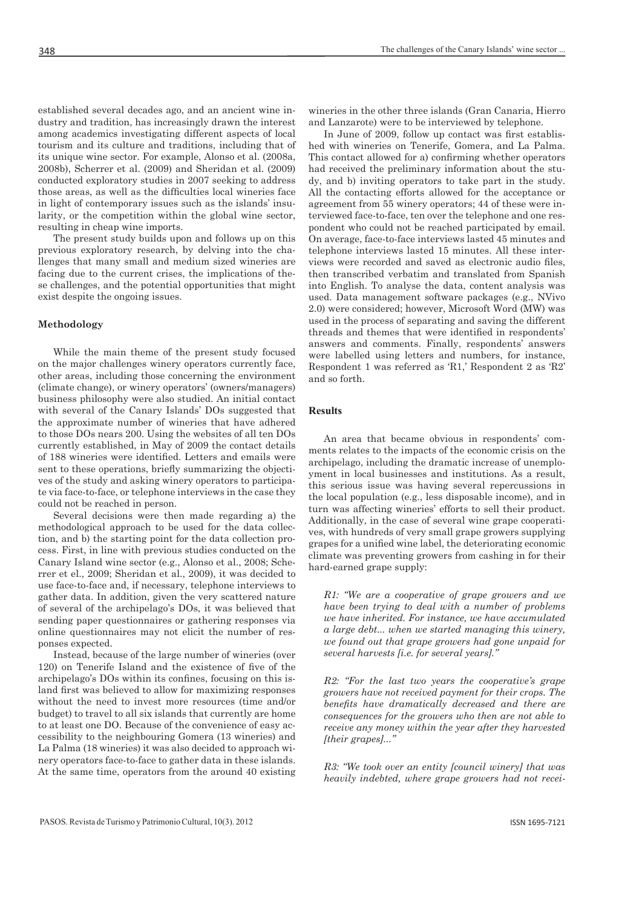established several decades ago, and an ancient wine industry and tradition, has increasingly drawn the interest among academics investigating different aspects of local tourism and its culture and traditions, including that of its unique wine sector. For example, Alonso et al. (2008a, 2008b), Scherrer et al. (2009) and Sheridan et al. (2009) conducted exploratory studies in 2007 seeking to address those areas, as well as the difficulties local wineries face in light of contemporary issues such as the islands' insularity, or the competition within the global wine sector, resulting in cheap wine imports.

The present study builds upon and follows up on this previous exploratory research, by delving into the challenges that many small and medium sized wineries are facing due to the current crises, the implications of these challenges, and the potential opportunities that might exist despite the ongoing issues.

# **Methodology**

While the main theme of the present study focused on the major challenges winery operators currently face, other areas, including those concerning the environment (climate change), or winery operators' (owners/managers) business philosophy were also studied. An initial contact with several of the Canary Islands' DOs suggested that the approximate number of wineries that have adhered to those DOs nears 200. Using the websites of all ten DOs currently established, in May of 2009 the contact details of 188 wineries were identified. Letters and emails were sent to these operations, briefly summarizing the objectives of the study and asking winery operators to participate via face-to-face, or telephone interviews in the case they could not be reached in person.

Several decisions were then made regarding a) the methodological approach to be used for the data collection, and b) the starting point for the data collection process. First, in line with previous studies conducted on the Canary Island wine sector (e.g., Alonso et al., 2008; Scherrer et el., 2009; Sheridan et al., 2009), it was decided to use face-to-face and, if necessary, telephone interviews to gather data. In addition, given the very scattered nature of several of the archipelago's DOs, it was believed that sending paper questionnaires or gathering responses via online questionnaires may not elicit the number of responses expected.

Instead, because of the large number of wineries (over 120) on Tenerife Island and the existence of five of the archipelago's DOs within its confines, focusing on this island first was believed to allow for maximizing responses without the need to invest more resources (time and/or budget) to travel to all six islands that currently are home to at least one DO. Because of the convenience of easy accessibility to the neighbouring Gomera (13 wineries) and La Palma (18 wineries) it was also decided to approach winery operators face-to-face to gather data in these islands. At the same time, operators from the around 40 existing wineries in the other three islands (Gran Canaria, Hierro and Lanzarote) were to be interviewed by telephone.

In June of 2009, follow up contact was first established with wineries on Tenerife, Gomera, and La Palma. This contact allowed for a) confirming whether operators had received the preliminary information about the study, and b) inviting operators to take part in the study. All the contacting efforts allowed for the acceptance or agreement from 55 winery operators; 44 of these were interviewed face-to-face, ten over the telephone and one respondent who could not be reached participated by email. On average, face-to-face interviews lasted 45 minutes and telephone interviews lasted 15 minutes. All these interviews were recorded and saved as electronic audio files, then transcribed verbatim and translated from Spanish into English. To analyse the data, content analysis was used. Data management software packages (e.g., NVivo 2.0) were considered; however, Microsoft Word (MW) was used in the process of separating and saving the different threads and themes that were identified in respondents' answers and comments. Finally, respondents' answers were labelled using letters and numbers, for instance, Respondent 1 was referred as 'R1,' Respondent 2 as 'R2' and so forth.

## **Results**

An area that became obvious in respondents' comments relates to the impacts of the economic crisis on the archipelago, including the dramatic increase of unemployment in local businesses and institutions. As a result, this serious issue was having several repercussions in the local population (e.g., less disposable income), and in turn was affecting wineries' efforts to sell their product. Additionally, in the case of several wine grape cooperatives, with hundreds of very small grape growers supplying grapes for a unified wine label, the deteriorating economic climate was preventing growers from cashing in for their hard-earned grape supply:

*R1: "We are a cooperative of grape growers and we have been trying to deal with a number of problems we have inherited. For instance, we have accumulated a large debt... when we started managing this winery, we found out that grape growers had gone unpaid for several harvests [i.e. for several years]."* 

*R2: "For the last two years the cooperative's grape growers have not received payment for their crops. The benefits have dramatically decreased and there are consequences for the growers who then are not able to receive any money within the year after they harvested [their grapes]..."*

*R3: "We took over an entity [council winery] that was heavily indebted, where grape growers had not recei-*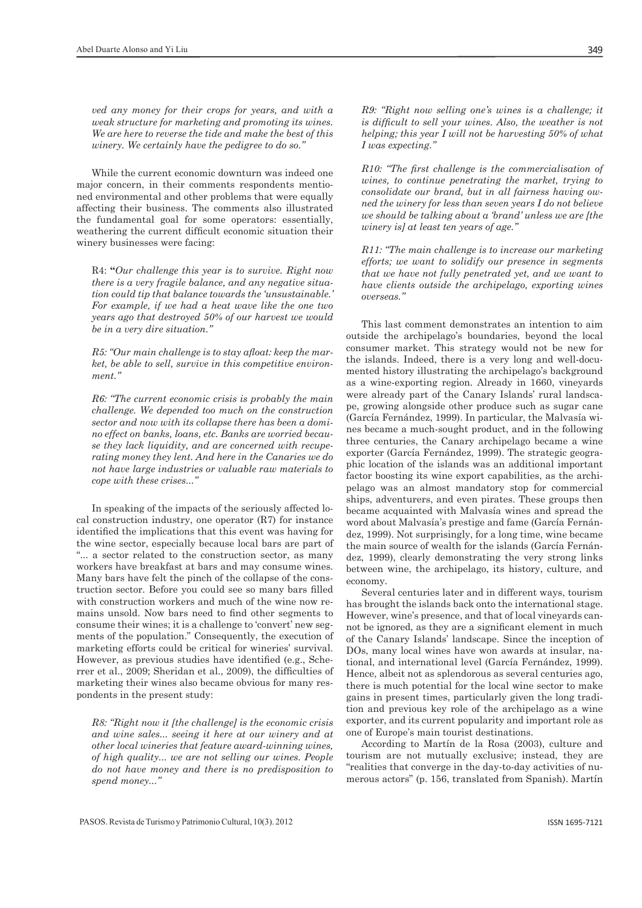*ved any money for their crops for years, and with a weak structure for marketing and promoting its wines. We are here to reverse the tide and make the best of this winery. We certainly have the pedigree to do so."*

While the current economic downturn was indeed one major concern, in their comments respondents mentioned environmental and other problems that were equally affecting their business. The comments also illustrated the fundamental goal for some operators: essentially, weathering the current difficult economic situation their winery businesses were facing:

R4: **"***Our challenge this year is to survive. Right now there is a very fragile balance, and any negative situation could tip that balance towards the 'unsustainable.' For example, if we had a heat wave like the one two years ago that destroyed 50% of our harvest we would be in a very dire situation."* 

*R5: "Our main challenge is to stay afloat: keep the market, be able to sell, survive in this competitive environment."* 

*R6: "The current economic crisis is probably the main challenge. We depended too much on the construction sector and now with its collapse there has been a domino effect on banks, loans, etc. Banks are worried because they lack liquidity, and are concerned with recuperating money they lent. And here in the Canaries we do not have large industries or valuable raw materials to cope with these crises..."*

In speaking of the impacts of the seriously affected local construction industry, one operator (R7) for instance identified the implications that this event was having for the wine sector, especially because local bars are part of "... a sector related to the construction sector, as many workers have breakfast at bars and may consume wines. Many bars have felt the pinch of the collapse of the construction sector. Before you could see so many bars filled with construction workers and much of the wine now remains unsold. Now bars need to find other segments to consume their wines; it is a challenge to 'convert' new segments of the population." Consequently, the execution of marketing efforts could be critical for wineries' survival. However, as previous studies have identified (e.g., Scherrer et al., 2009; Sheridan et al., 2009), the difficulties of marketing their wines also became obvious for many respondents in the present study:

*R8: "Right now it [the challenge] is the economic crisis and wine sales... seeing it here at our winery and at other local wineries that feature award-winning wines, of high quality... we are not selling our wines. People do not have money and there is no predisposition to spend money..."*

*R9: "Right now selling one's wines is a challenge; it is difficult to sell your wines. Also, the weather is not helping; this year I will not be harvesting 50% of what I was expecting."*

*R10: "The first challenge is the commercialisation of wines, to continue penetrating the market, trying to consolidate our brand, but in all fairness having owned the winery for less than seven years I do not believe we should be talking about a 'brand' unless we are [the winery is] at least ten years of age."*

*R11: "The main challenge is to increase our marketing efforts; we want to solidify our presence in segments that we have not fully penetrated yet, and we want to have clients outside the archipelago, exporting wines overseas."*

This last comment demonstrates an intention to aim outside the archipelago's boundaries, beyond the local consumer market. This strategy would not be new for the islands. Indeed, there is a very long and well-documented history illustrating the archipelago's background as a wine-exporting region. Already in 1660, vineyards were already part of the Canary Islands' rural landscape, growing alongside other produce such as sugar cane (García Fernández, 1999). In particular, the Malvasía wines became a much-sought product, and in the following three centuries, the Canary archipelago became a wine exporter (García Fernández, 1999). The strategic geographic location of the islands was an additional important factor boosting its wine export capabilities, as the archipelago was an almost mandatory stop for commercial ships, adventurers, and even pirates. These groups then became acquainted with Malvasía wines and spread the word about Malvasía's prestige and fame (García Fernández, 1999). Not surprisingly, for a long time, wine became the main source of wealth for the islands (García Fernández, 1999), clearly demonstrating the very strong links between wine, the archipelago, its history, culture, and economy.

Several centuries later and in different ways, tourism has brought the islands back onto the international stage. However, wine's presence, and that of local vineyards cannot be ignored, as they are a significant element in much of the Canary Islands' landscape. Since the inception of DOs, many local wines have won awards at insular, national, and international level (García Fernández, 1999). Hence, albeit not as splendorous as several centuries ago, there is much potential for the local wine sector to make gains in present times, particularly given the long tradition and previous key role of the archipelago as a wine exporter, and its current popularity and important role as one of Europe's main tourist destinations.

According to Martín de la Rosa (2003), culture and tourism are not mutually exclusive; instead, they are "realities that converge in the day-to-day activities of numerous actors" (p. 156, translated from Spanish). Martín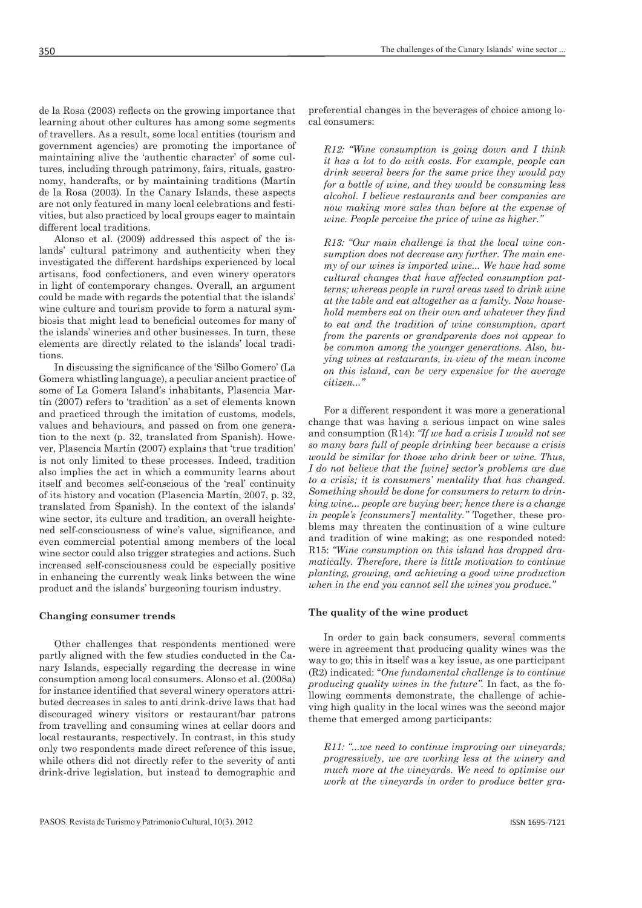de la Rosa (2003) reflects on the growing importance that learning about other cultures has among some segments of travellers. As a result, some local entities (tourism and government agencies) are promoting the importance of maintaining alive the 'authentic character' of some cultures, including through patrimony, fairs, rituals, gastronomy, handcrafts, or by maintaining traditions (Martín de la Rosa (2003). In the Canary Islands, these aspects are not only featured in many local celebrations and festivities, but also practiced by local groups eager to maintain different local traditions.

Alonso et al. (2009) addressed this aspect of the islands' cultural patrimony and authenticity when they investigated the different hardships experienced by local artisans, food confectioners, and even winery operators in light of contemporary changes. Overall, an argument could be made with regards the potential that the islands' wine culture and tourism provide to form a natural symbiosis that might lead to beneficial outcomes for many of the islands' wineries and other businesses. In turn, these elements are directly related to the islands' local traditions.

In discussing the significance of the 'Silbo Gomero' (La Gomera whistling language), a peculiar ancient practice of some of La Gomera Island's inhabitants, Plasencia Martín (2007) refers to 'tradition' as a set of elements known and practiced through the imitation of customs, models, values and behaviours, and passed on from one generation to the next (p. 32, translated from Spanish). However, Plasencia Martín (2007) explains that 'true tradition' is not only limited to these processes. Indeed, tradition also implies the act in which a community learns about itself and becomes self-conscious of the 'real' continuity of its history and vocation (Plasencia Martín, 2007, p. 32, translated from Spanish). In the context of the islands' wine sector, its culture and tradition, an overall heightened self-consciousness of wine's value, significance, and even commercial potential among members of the local wine sector could also trigger strategies and actions. Such increased self-consciousness could be especially positive in enhancing the currently weak links between the wine product and the islands' burgeoning tourism industry.

#### **Changing consumer trends**

Other challenges that respondents mentioned were partly aligned with the few studies conducted in the Canary Islands, especially regarding the decrease in wine consumption among local consumers. Alonso et al. (2008a) for instance identified that several winery operators attributed decreases in sales to anti drink-drive laws that had discouraged winery visitors or restaurant/bar patrons from travelling and consuming wines at cellar doors and local restaurants, respectively. In contrast, in this study only two respondents made direct reference of this issue, while others did not directly refer to the severity of anti drink-drive legislation, but instead to demographic and preferential changes in the beverages of choice among local consumers:

*R12: "Wine consumption is going down and I think it has a lot to do with costs. For example, people can drink several beers for the same price they would pay for a bottle of wine, and they would be consuming less alcohol. I believe restaurants and beer companies are now making more sales than before at the expense of wine. People perceive the price of wine as higher."*

*R13: "Our main challenge is that the local wine consumption does not decrease any further. The main enemy of our wines is imported wine... We have had some cultural changes that have affected consumption patterns; whereas people in rural areas used to drink wine at the table and eat altogether as a family. Now household members eat on their own and whatever they find to eat and the tradition of wine consumption, apart from the parents or grandparents does not appear to be common among the younger generations. Also, buying wines at restaurants, in view of the mean income on this island, can be very expensive for the average citizen..."*

For a different respondent it was more a generational change that was having a serious impact on wine sales and consumption (R14): *"If we had a crisis I would not see so many bars full of people drinking beer because a crisis would be similar for those who drink beer or wine. Thus, I do not believe that the [wine] sector's problems are due to a crisis; it is consumers' mentality that has changed. Something should be done for consumers to return to drinking wine... people are buying beer; hence there is a change in people's [consumers'] mentality."* Together, these problems may threaten the continuation of a wine culture and tradition of wine making; as one responded noted: R15: *"Wine consumption on this island has dropped dramatically. Therefore, there is little motivation to continue planting, growing, and achieving a good wine production when in the end you cannot sell the wines you produce."*

#### **The quality of the wine product**

In order to gain back consumers, several comments were in agreement that producing quality wines was the way to go; this in itself was a key issue, as one participant (R2) indicated: "*One fundamental challenge is to continue producing quality wines in the future".* In fact, as the following comments demonstrate, the challenge of achieving high quality in the local wines was the second major theme that emerged among participants:

*R11: "...we need to continue improving our vineyards; progressively, we are working less at the winery and much more at the vineyards. We need to optimise our work at the vineyards in order to produce better gra-*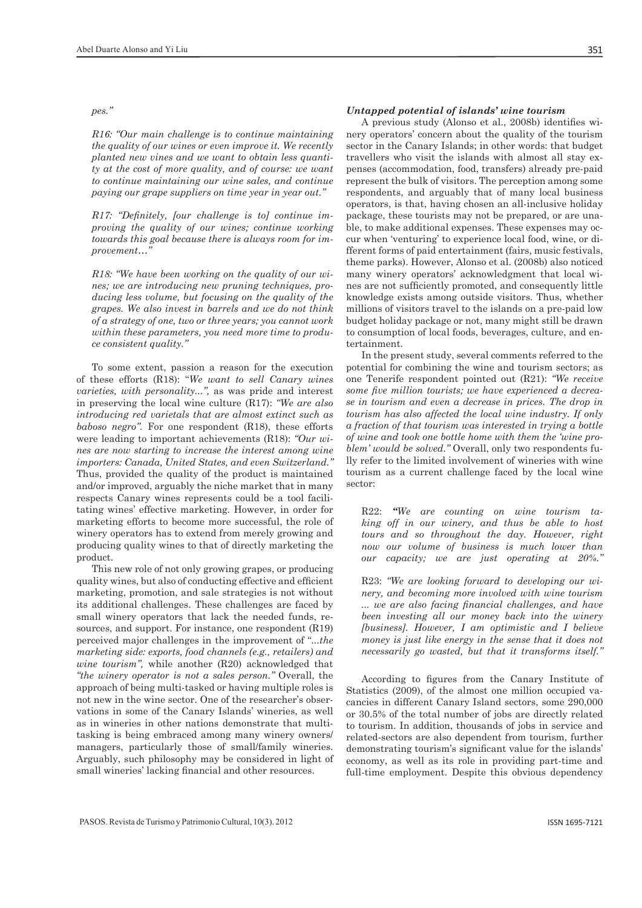*pes."*

*R16: "Our main challenge is to continue maintaining the quality of our wines or even improve it. We recently planted new vines and we want to obtain less quantity at the cost of more quality, and of course: we want to continue maintaining our wine sales, and continue paying our grape suppliers on time year in year out."*

*R17: "Definitely, [our challenge is to] continue improving the quality of our wines; continue working towards this goal because there is always room for improvement…"*

*R18: "We have been working on the quality of our wines; we are introducing new pruning techniques, producing less volume, but focusing on the quality of the grapes. We also invest in barrels and we do not think of a strategy of one, two or three years; you cannot work within these parameters, you need more time to produce consistent quality."* 

To some extent, passion a reason for the execution of these efforts (R18): "*We want to sell Canary wines varieties, with personality...",* as was pride and interest in preserving the local wine culture (R17): *"We are also introducing red varietals that are almost extinct such as baboso negro".* For one respondent (R18), these efforts were leading to important achievements (R18): *"Our wines are now starting to increase the interest among wine importers: Canada, United States, and even Switzerland."* Thus, provided the quality of the product is maintained and/or improved, arguably the niche market that in many respects Canary wines represents could be a tool facilitating wines' effective marketing. However, in order for marketing efforts to become more successful, the role of winery operators has to extend from merely growing and producing quality wines to that of directly marketing the product.

This new role of not only growing grapes, or producing quality wines, but also of conducting effective and efficient marketing, promotion, and sale strategies is not without its additional challenges. These challenges are faced by small winery operators that lack the needed funds, resources, and support. For instance, one respondent (R19) perceived major challenges in the improvement of "*...the marketing side: exports, food channels (e.g., retailers) and wine tourism",* while another (R20) acknowledged that *"the winery operator is not a sales person."* Overall, the approach of being multi-tasked or having multiple roles is not new in the wine sector. One of the researcher's observations in some of the Canary Islands' wineries, as well as in wineries in other nations demonstrate that multitasking is being embraced among many winery owners/ managers, particularly those of small/family wineries. Arguably, such philosophy may be considered in light of small wineries' lacking financial and other resources.

# *Untapped potential of islands' wine tourism*

A previous study (Alonso et al., 2008b) identifies winery operators' concern about the quality of the tourism sector in the Canary Islands; in other words: that budget travellers who visit the islands with almost all stay expenses (accommodation, food, transfers) already pre-paid represent the bulk of visitors. The perception among some respondents, and arguably that of many local business operators, is that, having chosen an all-inclusive holiday package, these tourists may not be prepared, or are unable, to make additional expenses. These expenses may occur when 'venturing' to experience local food, wine, or different forms of paid entertainment (fairs, music festivals, theme parks). However, Alonso et al. (2008b) also noticed many winery operators' acknowledgment that local wines are not sufficiently promoted, and consequently little knowledge exists among outside visitors. Thus, whether millions of visitors travel to the islands on a pre-paid low budget holiday package or not, many might still be drawn to consumption of local foods, beverages, culture, and entertainment.

In the present study, several comments referred to the potential for combining the wine and tourism sectors; as one Tenerife respondent pointed out (R21): *"We receive some five million tourists; we have experienced a decrease in tourism and even a decrease in prices. The drop in tourism has also affected the local wine industry. If only a fraction of that tourism was interested in trying a bottle of wine and took one bottle home with them the 'wine problem' would be solved."* Overall, only two respondents fully refer to the limited involvement of wineries with wine tourism as a current challenge faced by the local wine sector:

R22: *"We are counting on wine tourism taking off in our winery, and thus be able to host tours and so throughout the day. However, right now our volume of business is much lower than our capacity; we are just operating at 20%."*

R23: *"We are looking forward to developing our winery, and becoming more involved with wine tourism ... we are also facing financial challenges, and have been investing all our money back into the winery [business]. However, I am optimistic and I believe money is just like energy in the sense that it does not necessarily go wasted, but that it transforms itself."*

According to figures from the Canary Institute of Statistics (2009), of the almost one million occupied vacancies in different Canary Island sectors, some 290,000 or 30.5% of the total number of jobs are directly related to tourism. In addition, thousands of jobs in service and related-sectors are also dependent from tourism, further demonstrating tourism's significant value for the islands' economy, as well as its role in providing part-time and full-time employment. Despite this obvious dependency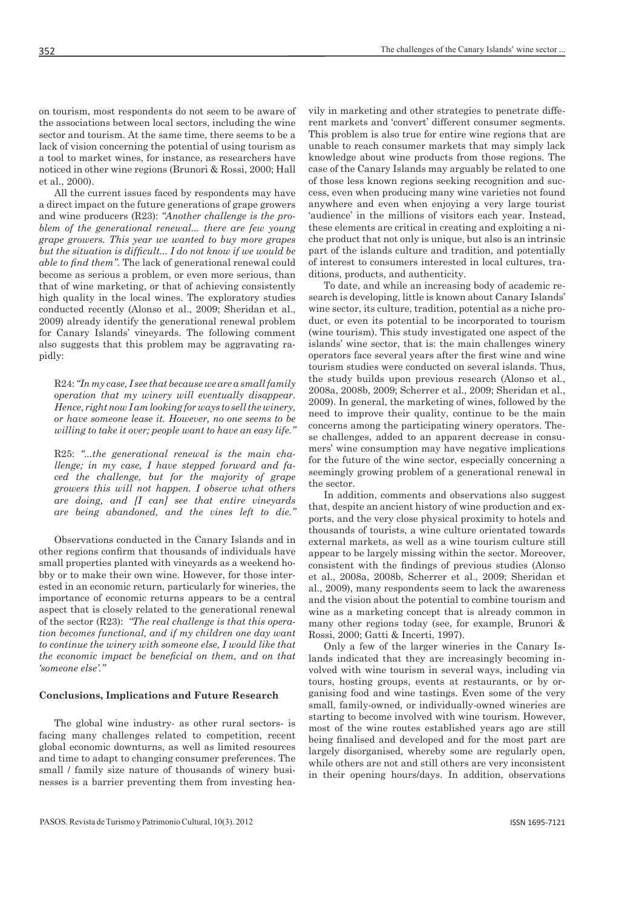on tourism, most respondents do not seem to be aware of the associations between local sectors, including the wine sector and tourism. At the same time, there seems to be a lack of vision concerning the potential of using tourism as a tool to market wines, for instance, as researchers have noticed in other wine regions (Brunori & Rossi, 2000; Hall et al., 2000).

All the current issues faced by respondents may have a direct impact on the future generations of grape growers and wine producers (R23): *"Another challenge is the problem of the generational renewal... there are few young grape growers. This year we wanted to buy more grapes but the situation is difficult... I do not know if we would be able to find them".* The lack of generational renewal could become as serious a problem, or even more serious, than that of wine marketing, or that of achieving consistently high quality in the local wines. The exploratory studies conducted recently (Alonso et al., 2009; Sheridan et al., 2009) already identify the generational renewal problem for Canary Islands' vineyards. The following comment also suggests that this problem may be aggravating rapidly:

R24: *"In my case, I see that because we are a small family operation that my winery will eventually disappear. Hence, right now I am looking for ways to sell the winery, or have someone lease it. However, no one seems to be willing to take it over; people want to have an easy life."*

R25: *"...the generational renewal is the main challenge; in my case, I have stepped forward and faced the challenge, but for the majority of grape growers this will not happen. I observe what others are doing, and [I can] see that entire vineyards are being abandoned, and the vines left to die."*

Observations conducted in the Canary Islands and in other regions confirm that thousands of individuals have small properties planted with vineyards as a weekend hobby or to make their own wine. However, for those interested in an economic return, particularly for wineries, the importance of economic returns appears to be a central aspect that is closely related to the generational renewal of the sector (R23): *"The real challenge is that this operation becomes functional, and if my children one day want to continue the winery with someone else, I would like that the economic impact be beneficial on them, and on that 'someone else'."*

# **Conclusions, Implications and Future Research**

The global wine industry- as other rural sectors- is facing many challenges related to competition, recent global economic downturns, as well as limited resources and time to adapt to changing consumer preferences. The small / family size nature of thousands of winery businesses is a barrier preventing them from investing heavily in marketing and other strategies to penetrate different markets and 'convert' different consumer segments. This problem is also true for entire wine regions that are unable to reach consumer markets that may simply lack knowledge about wine products from those regions. The case of the Canary Islands may arguably be related to one of those less known regions seeking recognition and success, even when producing many wine varieties not found anywhere and even when enjoying a very large tourist 'audience' in the millions of visitors each year. Instead, these elements are critical in creating and exploiting a niche product that not only is unique, but also is an intrinsic part of the islands culture and tradition, and potentially of interest to consumers interested in local cultures, traditions, products, and authenticity.

To date, and while an increasing body of academic research is developing, little is known about Canary Islands' wine sector, its culture, tradition, potential as a niche product, or even its potential to be incorporated to tourism (wine tourism). This study investigated one aspect of the islands' wine sector, that is: the main challenges winery operators face several years after the first wine and wine tourism studies were conducted on several islands. Thus, the study builds upon previous research (Alonso et al., 2008a, 2008b, 2009; Scherrer et al., 2009; Sheridan et al., 2009). In general, the marketing of wines, followed by the need to improve their quality, continue to be the main concerns among the participating winery operators. These challenges, added to an apparent decrease in consumers' wine consumption may have negative implications for the future of the wine sector, especially concerning a seemingly growing problem of a generational renewal in the sector.

In addition, comments and observations also suggest that, despite an ancient history of wine production and exports, and the very close physical proximity to hotels and thousands of tourists, a wine culture orientated towards external markets, as well as a wine tourism culture still appear to be largely missing within the sector. Moreover, consistent with the findings of previous studies (Alonso et al., 2008a, 2008b, Scherrer et al., 2009; Sheridan et al., 2009), many respondents seem to lack the awareness and the vision about the potential to combine tourism and wine as a marketing concept that is already common in many other regions today (see, for example, Brunori & Rossi, 2000; Gatti & Incerti, 1997).

Only a few of the larger wineries in the Canary Islands indicated that they are increasingly becoming involved with wine tourism in several ways, including via tours, hosting groups, events at restaurants, or by organising food and wine tastings. Even some of the very small, family-owned, or individually-owned wineries are starting to become involved with wine tourism. However, most of the wine routes established years ago are still being finalised and developed and for the most part are largely disorganised, whereby some are regularly open, while others are not and still others are very inconsistent in their opening hours/days. In addition, observations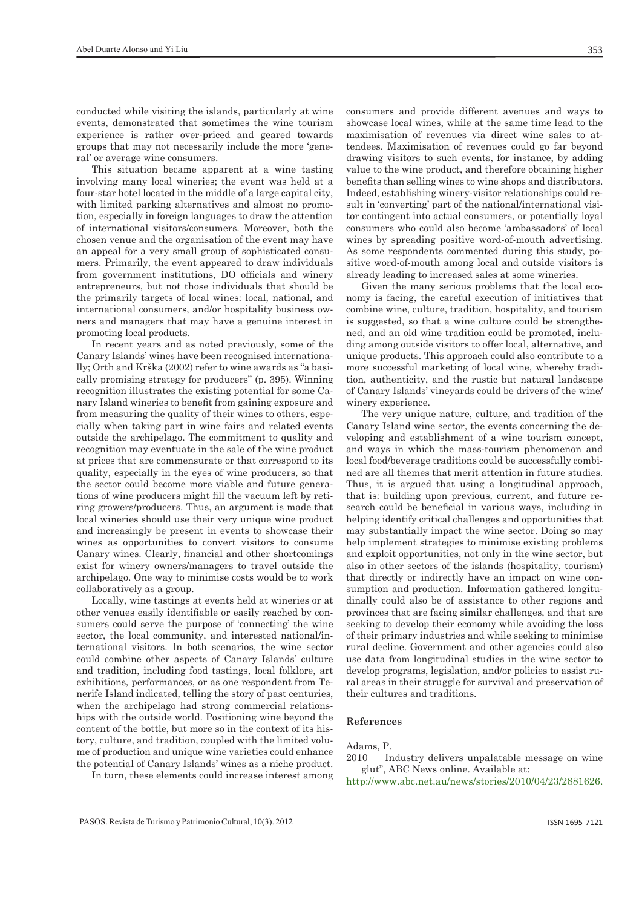conducted while visiting the islands, particularly at wine events, demonstrated that sometimes the wine tourism experience is rather over-priced and geared towards groups that may not necessarily include the more 'general' or average wine consumers.

This situation became apparent at a wine tasting involving many local wineries; the event was held at a four-star hotel located in the middle of a large capital city, with limited parking alternatives and almost no promotion, especially in foreign languages to draw the attention of international visitors/consumers. Moreover, both the chosen venue and the organisation of the event may have an appeal for a very small group of sophisticated consumers. Primarily, the event appeared to draw individuals from government institutions, DO officials and winery entrepreneurs, but not those individuals that should be the primarily targets of local wines: local, national, and international consumers, and/or hospitality business owners and managers that may have a genuine interest in promoting local products.

In recent years and as noted previously, some of the Canary Islands' wines have been recognised internationally; Orth and Krška (2002) refer to wine awards as "a basically promising strategy for producers" (p. 395). Winning recognition illustrates the existing potential for some Canary Island wineries to benefit from gaining exposure and from measuring the quality of their wines to others, especially when taking part in wine fairs and related events outside the archipelago. The commitment to quality and recognition may eventuate in the sale of the wine product at prices that are commensurate or that correspond to its quality, especially in the eyes of wine producers, so that the sector could become more viable and future generations of wine producers might fill the vacuum left by retiring growers/producers. Thus, an argument is made that local wineries should use their very unique wine product and increasingly be present in events to showcase their wines as opportunities to convert visitors to consume Canary wines. Clearly, financial and other shortcomings exist for winery owners/managers to travel outside the archipelago. One way to minimise costs would be to work collaboratively as a group.

Locally, wine tastings at events held at wineries or at other venues easily identifiable or easily reached by consumers could serve the purpose of 'connecting' the wine sector, the local community, and interested national/international visitors. In both scenarios, the wine sector could combine other aspects of Canary Islands' culture and tradition, including food tastings, local folklore, art exhibitions, performances, or as one respondent from Tenerife Island indicated, telling the story of past centuries, when the archipelago had strong commercial relationships with the outside world. Positioning wine beyond the content of the bottle, but more so in the context of its history, culture, and tradition, coupled with the limited volume of production and unique wine varieties could enhance the potential of Canary Islands' wines as a niche product.

In turn, these elements could increase interest among

consumers and provide different avenues and ways to showcase local wines, while at the same time lead to the maximisation of revenues via direct wine sales to attendees. Maximisation of revenues could go far beyond drawing visitors to such events, for instance, by adding value to the wine product, and therefore obtaining higher benefits than selling wines to wine shops and distributors. Indeed, establishing winery-visitor relationships could result in 'converting' part of the national/international visitor contingent into actual consumers, or potentially loyal consumers who could also become 'ambassadors' of local wines by spreading positive word-of-mouth advertising. As some respondents commented during this study, positive word-of-mouth among local and outside visitors is already leading to increased sales at some wineries.

Given the many serious problems that the local economy is facing, the careful execution of initiatives that combine wine, culture, tradition, hospitality, and tourism is suggested, so that a wine culture could be strengthened, and an old wine tradition could be promoted, including among outside visitors to offer local, alternative, and unique products. This approach could also contribute to a more successful marketing of local wine, whereby tradition, authenticity, and the rustic but natural landscape of Canary Islands' vineyards could be drivers of the wine/ winery experience.

The very unique nature, culture, and tradition of the Canary Island wine sector, the events concerning the developing and establishment of a wine tourism concept, and ways in which the mass-tourism phenomenon and local food/beverage traditions could be successfully combined are all themes that merit attention in future studies. Thus, it is argued that using a longitudinal approach, that is: building upon previous, current, and future research could be beneficial in various ways, including in helping identify critical challenges and opportunities that may substantially impact the wine sector. Doing so may help implement strategies to minimise existing problems and exploit opportunities, not only in the wine sector, but also in other sectors of the islands (hospitality, tourism) that directly or indirectly have an impact on wine consumption and production. Information gathered longitudinally could also be of assistance to other regions and provinces that are facing similar challenges, and that are seeking to develop their economy while avoiding the loss of their primary industries and while seeking to minimise rural decline. Government and other agencies could also use data from longitudinal studies in the wine sector to develop programs, legislation, and/or policies to assist rural areas in their struggle for survival and preservation of their cultures and traditions.

# **References**

Adams, P.

2010 Industry delivers unpalatable message on wine glut", ABC News online. Available at:

http://www.abc.net.au/news/stories/2010/04/23/2881626.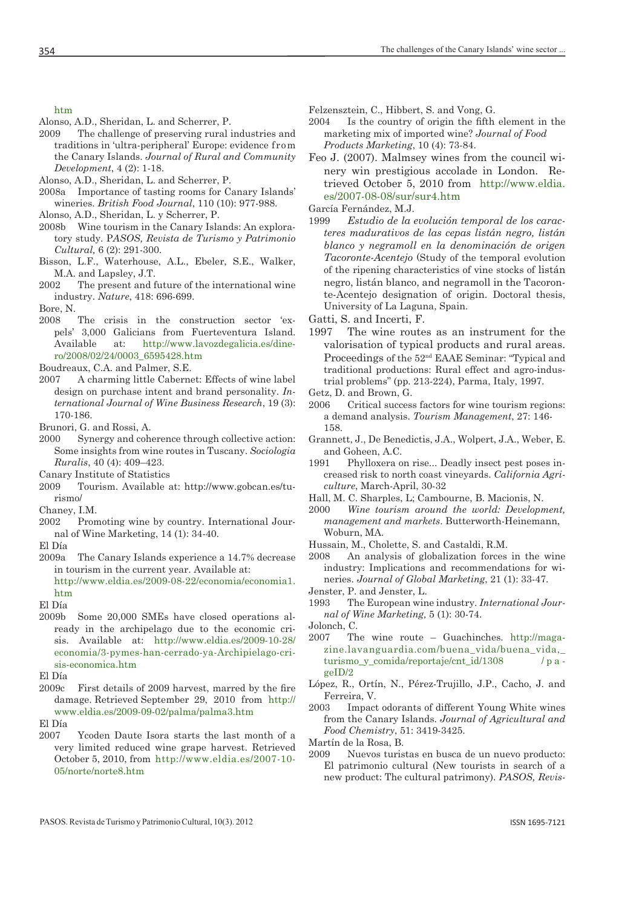#### htm

- Alonso, A.D., Sheridan, L. and Scherrer, P.
- 2009 The challenge of preserving rural industries and traditions in 'ultra-peripheral' Europe: evidence from the Canary Islands. *Journal of Rural and Community Development*, 4 (2): 1-18.
- Alonso, A.D., Sheridan, L. and Scherrer, P.
- 2008a Importance of tasting rooms for Canary Islands' wineries. *British Food Journal*, 110 (10): 977-988.
- Alonso, A.D., Sheridan, L. y Scherrer, P.
- 2008b Wine tourism in the Canary Islands: An exploratory study. P*ASOS, Revista de Turismo y Patrimonio Cultural,* 6 (2): 291-300.
- Bisson, L.F., Waterhouse, A.L., Ebeler, S.E., Walker, M.A. and Lapsley, J.T.
- 2002 The present and future of the international wine industry. *Nature*, 418: 696-699.
- Bore, N.
- 2008 The crisis in the construction sector 'expels' 3,000 Galicians from Fuerteventura Island. Available at: http://www.lavozdegalicia.es/dinero/2008/02/24/0003\_6595428.htm

Boudreaux, C.A. and Palmer, S.E.

- 2007 A charming little Cabernet: Effects of wine label design on purchase intent and brand personality. *International Journal of Wine Business Research*, 19 (3): 170-186.
- Brunori, G. and Rossi, A.
- 2000 Synergy and coherence through collective action: Some insights from wine routes in Tuscany. *Sociologia Ruralis*, 40 (4): 409–423.
- Canary Institute of Statistics
- 2009 Tourism. Available at: http://www.gobcan.es/turismo/
- Chaney, I.M.
- 2002 Promoting wine by country. International Journal of Wine Marketing, 14 (1): 34-40.
- El Día
- 2009a The Canary Islands experience a 14.7% decrease in tourism in the current year. Available at:

http://www.eldia.es/2009-08-22/economia/economia1. htm

El Día

2009b Some 20,000 SMEs have closed operations already in the archipelago due to the economic crisis. Available at: http://www.eldia.es/2009-10-28/ economia/3-pymes-han-cerrado-ya-Archipielago-crisis-economica.htm

El Día

2009c First details of 2009 harvest, marred by the fire damage. Retrieved September 29, 2010 from http:// www.eldia.es/2009-09-02/palma/palma3.htm

El Día

2007 Ycoden Daute Isora starts the last month of a very limited reduced wine grape harvest. Retrieved October 5, 2010, from http://www.eldia.es/2007-10- 05/norte/norte8.htm

Felzensztein, C., Hibbert, S. and Vong, G.

- 2004 Is the country of origin the fifth element in the marketing mix of imported wine? *Journal of Food Products Marketing*, 10 (4): 73-84.
- Feo J. (2007). Malmsey wines from the council winery win prestigious accolade in London. Retrieved October 5, 2010 from http://www.eldia. es/2007-08-08/sur/sur4.htm

García Fernández, M.J.

1999 *Estudio de la evolución temporal de los caracteres madurativos de las cepas listán negro, listán blanco y negramoll en la denominación de origen Tacoronte-Acentejo* (Study of the temporal evolution of the ripening characteristics of vine stocks of listán negro, listán blanco, and negramoll in the Tacoronte-Acentejo designation of origin. Doctoral thesis, University of La Laguna, Spain.

Gatti, S. and Incerti, F.

- 1997 The wine routes as an instrument for the valorisation of typical products and rural areas. Proceedings of the 52<sup>nd</sup> EAAE Seminar: "Typical and traditional productions: Rural effect and agro-industrial problems" (pp. 213-224), Parma, Italy, 1997.
- Getz, D. and Brown, G.
- 2006 Critical success factors for wine tourism regions: a demand analysis. *Tourism Management*, 27: 146- 158.
- Grannett, J., De Benedictis, J.A., Wolpert, J.A., Weber, E. and Goheen, A.C.
- 1991 Phylloxera on rise... Deadly insect pest poses increased risk to north coast vineyards. *California Agriculture*, March-April, 30-32
- Hall, M. C. Sharples, L; Cambourne, B. Macionis, N.
- 2000 *Wine tourism around the world: Development, management and markets*. Butterworth-Heinemann, Woburn, MA.
- Hussain, M., Cholette, S. and Castaldi, R.M.
- 2008 An analysis of globalization forces in the wine industry: Implications and recommendations for wineries. *Journal of Global Marketing*, 21 (1): 33-47.
- Jenster, P. and Jenster, L.
- 1993 The European wine industry. *International Journal of Wine Marketing,* 5 (1): 30-74.

Jolonch, C.

- 2007 The wine route Guachinches. http://magazine.lavanguardia.com/buena\_vida/buena\_vida,\_ turismo\_y\_comida/reportaje/cnt\_id/1308 / p a geID/2
- López, R., Ortín, N., Pérez-Trujillo, J.P., Cacho, J. and Ferreira, V.
- 2003 Impact odorants of different Young White wines from the Canary Islands. *Journal of Agricultural and Food Chemistry*, 51: 3419-3425.
- Martín de la Rosa, B.
- 2009 Nuevos turistas en busca de un nuevo producto: El patrimonio cultural (New tourists in search of a new product: The cultural patrimony). *PASOS, Revis-*